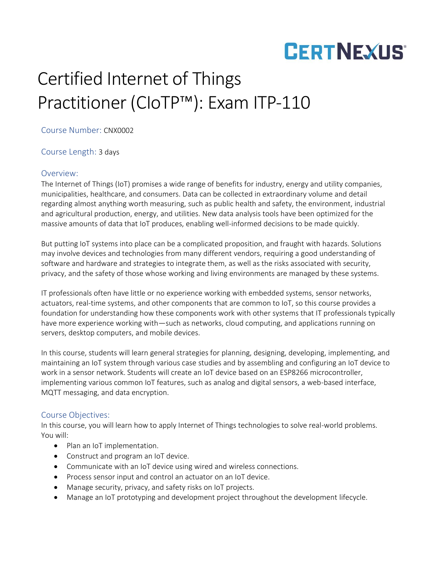# **CERTNEXUS®**

### Certified Internet of Things Practitioner (CIoTP™): Exam ITP-110

Course Number: CNX0002

Course Length: 3 days

#### Overview:

The Internet of Things (IoT) promises a wide range of benefits for industry, energy and utility companies, municipalities, healthcare, and consumers. Data can be collected in extraordinary volume and detail regarding almost anything worth measuring, such as public health and safety, the environment, industrial and agricultural production, energy, and utilities. New data analysis tools have been optimized for the massive amounts of data that IoT produces, enabling well-informed decisions to be made quickly.

But putting IoT systems into place can be a complicated proposition, and fraught with hazards. Solutions may involve devices and technologies from many different vendors, requiring a good understanding of software and hardware and strategies to integrate them, as well as the risks associated with security, privacy, and the safety of those whose working and living environments are managed by these systems.

IT professionals often have little or no experience working with embedded systems, sensor networks, actuators, real-time systems, and other components that are common to IoT, so this course provides a foundation for understanding how these components work with other systems that IT professionals typically have more experience working with—such as networks, cloud computing, and applications running on servers, desktop computers, and mobile devices.

In this course, students will learn general strategies for planning, designing, developing, implementing, and maintaining an IoT system through various case studies and by assembling and configuring an IoT device to work in a sensor network. Students will create an IoT device based on an ESP8266 microcontroller, implementing various common IoT features, such as analog and digital sensors, a web-based interface, MQTT messaging, and data encryption.

### Course Objectives:

In this course, you will learn how to apply Internet of Things technologies to solve real-world problems. You will:

- Plan an IoT implementation.
- Construct and program an IoT device.
- Communicate with an IoT device using wired and wireless connections.
- Process sensor input and control an actuator on an IoT device.
- Manage security, privacy, and safety risks on IoT projects.
- Manage an IoT prototyping and development project throughout the development lifecycle.